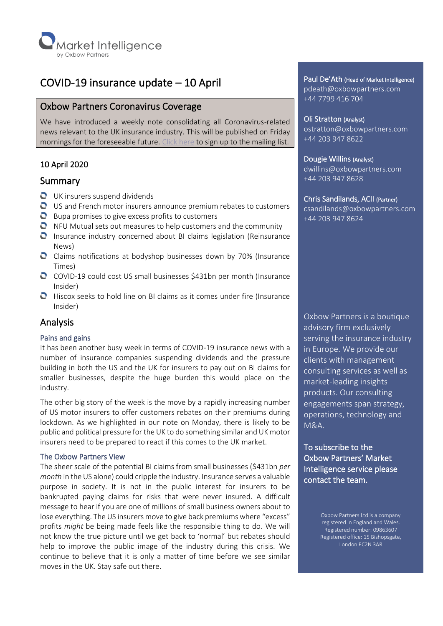

# COVID-19 insurance update – 10 April

## Oxbow Partners Coronavirus Coverage

We have introduced a weekly note consolidating all Coronavirus-related news relevant to the UK insurance industry. This will be published on Friday mornings for the foreseeable future. [Click here](https://mailchi.mp/oxbowpartners.com/coronavirusupdates) to sign up to the mailing list.

## 10 April 2020

## Summary

- UK insurers suspend dividends
- US and French motor insurers announce premium rebates to customers
- $\bullet$  Bupa promises to give excess profits to customers
- $\bullet$  NFU Mutual sets out measures to help customers and the community
- **Q** Insurance industry concerned about BI claims legislation (Reinsurance News)
- Claims notifications at bodyshop businesses down by 70% (Insurance Times)
- C COVID-19 could cost US small businesses \$431bn per month (Insurance Insider)
- $\bullet$  Hiscox seeks to hold line on BI claims as it comes under fire (Insurance Insider)

## Analysis

### Pains and gains

It has been another busy week in terms of COVID-19 insurance news with a number of insurance companies suspending dividends and the pressure building in both the US and the UK for insurers to pay out on BI claims for smaller businesses, despite the huge burden this would place on the industry.

The other big story of the week is the move by a rapidly increasing number of US motor insurers to offer customers rebates on their premiums during lockdown. As we highlighted in our note on Monday, there is likely to be public and political pressure for the UK to do something similar and UK motor insurers need to be prepared to react if this comes to the UK market.

#### The Oxbow Partners View

The sheer scale of the potential BI claims from small businesses (\$431bn *per month* in the US alone) could cripple the industry. Insurance serves a valuable purpose in society. It is not in the public interest for insurers to be bankrupted paying claims for risks that were never insured. A difficult message to hear if you are one of millions of small business owners about to lose everything. The US insurers move to give back premiums where "excess" profits *might* be being made feels like the responsible thing to do. We will not know the true picture until we get back to 'normal' but rebates should help to improve the public image of the industry during this crisis. We continue to believe that it is only a matter of time before we see similar moves in the UK. Stay safe out there.

Paul De'Ath (Head of Market Intelligence) pdeath@oxbowpartners.com +44 7799 416 704

Oli Stratton (Analyst) ostratton@oxbowpartners.com +44 203 947 8622

#### Dougie Willins (Analyst)

dwillins@oxbowpartners.com +44 203 947 8628

#### Chris Sandilands, ACII (Partner)

csandilands@oxbowpartners.com +44 203 947 8624

Oxbow Partners is a boutique advisory firm exclusively serving the insurance industry in Europe. We provide our clients with management consulting services as well as market-leading insights products. Our consulting engagements span strategy, operations, technology and M&A.

To subscribe to the Oxbow Partners' Market Intelligence service please contact the team.

> Oxbow Partners Ltd is a company registered in England and Wales. Registered number: 09863607 Registered office: 15 Bishopsgate, London EC2N 3AR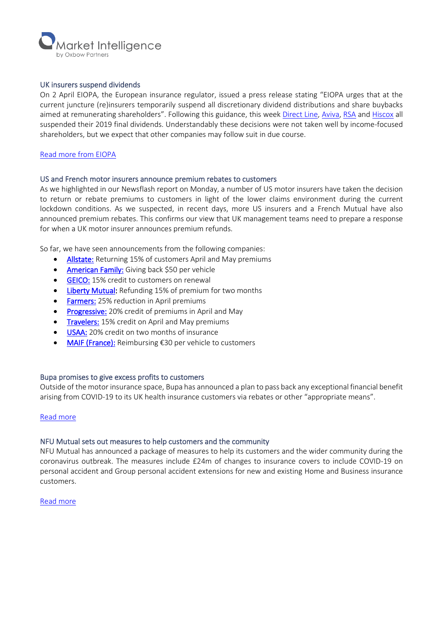

#### UK insurers suspend dividends

On 2 April EIOPA, the European insurance regulator, issued a press release stating "EIOPA urges that at the current juncture (re)insurers temporarily suspend all discretionary dividend distributions and share buybacks aimed at remunerating shareholders". Following this guidance, this wee[k Direct Line,](http://tools.euroland.com/tools/PressReleases/GetPressRelease/?ID=3729351&lang=en-GB&companycode=services) [Aviva,](https://otp.tools.investis.com/generic/regulatory-story.aspx?newsid=1384969&cid=759) [RSA](https://www.rsagroup.com/news/press-releases/2020/rsa-suspends-final-2019-dividend-payment-on-ordinary-shares/) and [Hiscox](https://otp.tools.investis.com/clients/uk/hiscox1/rns/regulatory-story.aspx?cid=258&newsid=1384964) all suspended their 2019 final dividends. Understandably these decisions were not taken well by income-focused shareholders, but we expect that other companies may follow suit in due course.

#### [Read more from EIOPA](https://www.eiopa.europa.eu/content/eiopa-statement-dividends-distribution-and-variable-remuneration-policies-context-covid-19_en)

#### US and French motor insurers announce premium rebates to customers

As we highlighted in our Newsflash report on Monday, a number of US motor insurers have taken the decision to return or rebate premiums to customers in light of the lower claims environment during the current lockdown conditions. As we suspected, in recent days, more US insurers and a French Mutual have also announced premium rebates. This confirms our view that UK management teams need to prepare a response for when a UK motor insurer announces premium refunds.

So far, we have seen announcements from the following companies:

- [Allstate:](https://www.allstatenewsroom.com/news/allstate-is-providing-more-than-600-million-to-auto-insurance-customers-amid-pandemic/) Returning 15% of customers April and May premiums
- [American Family:](https://www.amfam.com/about/coronavirus/relief-payment) Giving back \$50 per vehicle
- **GEICO:** 15% credit to customers on renewal
- [Liberty Mutual:](https://www.libertymutual.com/covid-19) Refunding 15% of premium for two months
- **Farmers:** 25% reduction in April premiums
- [Progressive:](https://www.progressive.com/support/covid19/) 20% credit of premiums in April and May
- [Travelers: 1](http://investor.travelers.com/file/Index?KeyFile=403557655)5% credit on April and May premiums
- [USAA:](https://communities.usaa.com/t5/Press-Releases/USAA-to-Return-520-Million-to-Members/ba-p/228150) 20% credit on two months of insurance
- [MAIF \(France\):](https://chaqueactecompte.maif.fr/societe-solidaire/covid-19-maif-en-mode-agile/) Reimbursing €30 per vehicle to customers

#### Bupa promises to give excess profits to customers

Outside of the motor insurance space, Bupa has announced a plan to pass back any exceptional financial benefit arising from COVID-19 to its UK health insurance customers via rebates or other "appropriate means".

#### [Read more](https://www.bupa.co.uk/coronavirus/health-insurance)

#### NFU Mutual sets out measures to help customers and the community

NFU Mutual has announced a package of measures to help its customers and the wider community during the coronavirus outbreak. The measures include £24m of changes to insurance covers to include COVID-19 on personal accident and Group personal accident extensions for new and existing Home and Business insurance customers.

#### [Read more](https://www.nfumutual.co.uk/about-us/coronavirus/)